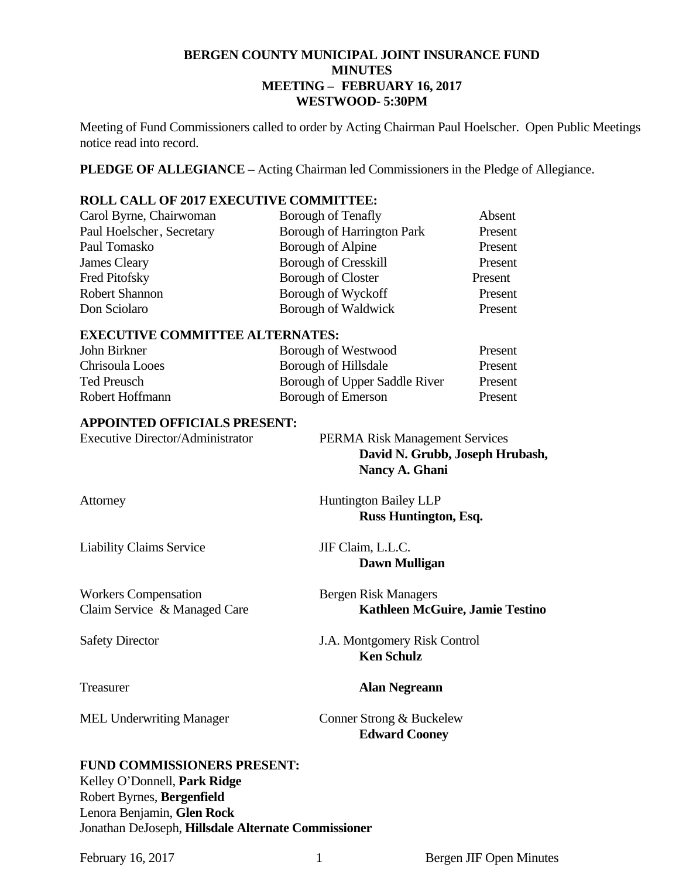## **BERGEN COUNTY MUNICIPAL JOINT INSURANCE FUND MINUTES MEETING – FEBRUARY 16, 2017 WESTWOOD- 5:30PM**

Meeting of Fund Commissioners called to order by Acting Chairman Paul Hoelscher. Open Public Meetings notice read into record.

**PLEDGE OF ALLEGIANCE –** Acting Chairman led Commissioners in the Pledge of Allegiance.

#### **ROLL CALL OF 2017 EXECUTIVE COMMITTEE:**

| Carol Byrne, Chairwoman   | <b>Borough of Tenafly</b>         | Absent  |
|---------------------------|-----------------------------------|---------|
| Paul Hoelscher, Secretary | <b>Borough of Harrington Park</b> | Present |
| Paul Tomasko              | Borough of Alpine                 | Present |
| James Cleary              | <b>Borough of Cresskill</b>       | Present |
| Fred Pitofsky             | <b>Borough of Closter</b>         | Present |
| <b>Robert Shannon</b>     | Borough of Wyckoff                | Present |
| Don Sciolaro              | Borough of Waldwick               | Present |

#### **EXECUTIVE COMMITTEE ALTERNATES:**

| John Birkner    | Borough of Westwood           | Present |
|-----------------|-------------------------------|---------|
| Chrisoula Looes | Borough of Hillsdale          | Present |
| Ted Preusch     | Borough of Upper Saddle River | Present |
| Robert Hoffmann | Borough of Emerson            | Present |

#### **APPOINTED OFFICIALS PRESENT:**

| <b>Executive Director/Administrator</b>                     | <b>PERMA Risk Management Services</b><br>David N. Grubb, Joseph Hrubash,<br>Nancy A. Ghani |
|-------------------------------------------------------------|--------------------------------------------------------------------------------------------|
| Attorney                                                    | <b>Huntington Bailey LLP</b><br>Russ Huntington, Esq.                                      |
| <b>Liability Claims Service</b>                             | JIF Claim, L.L.C.<br>Dawn Mulligan                                                         |
| <b>Workers Compensation</b><br>Claim Service & Managed Care | <b>Bergen Risk Managers</b><br><b>Kathleen McGuire, Jamie Testino</b>                      |
| <b>Safety Director</b>                                      | J.A. Montgomery Risk Control<br><b>Ken Schulz</b>                                          |
| Treasurer                                                   | <b>Alan Negreann</b>                                                                       |

MEL Underwriting Manager Conner Strong & Buckelew

## **FUND COMMISSIONERS PRESENT:**  Kelley O'Donnell, **Park Ridge** Robert Byrnes, **Bergenfield** Lenora Benjamin, **Glen Rock**  Jonathan DeJoseph, **Hillsdale Alternate Commissioner**

**Edward Cooney**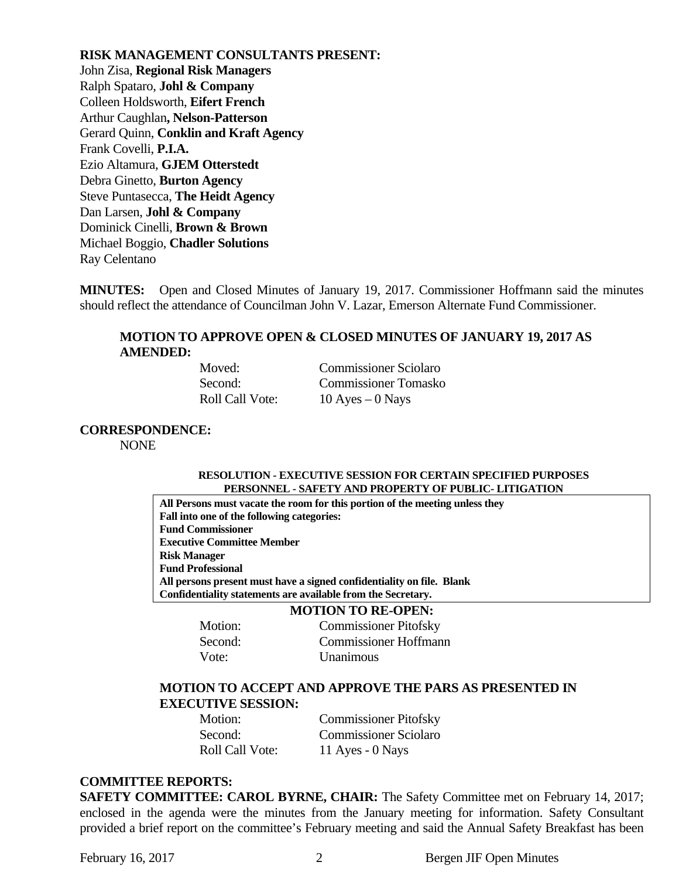**RISK MANAGEMENT CONSULTANTS PRESENT:**  John Zisa, **Regional Risk Managers** Ralph Spataro, **Johl & Company** Colleen Holdsworth, **Eifert French** Arthur Caughlan**, Nelson-Patterson** Gerard Quinn, **Conklin and Kraft Agency**  Frank Covelli, **P.I.A.**  Ezio Altamura, **GJEM Otterstedt**  Debra Ginetto, **Burton Agency**  Steve Puntasecca, **The Heidt Agency**  Dan Larsen, **Johl & Company**  Dominick Cinelli, **Brown & Brown** Michael Boggio, **Chadler Solutions**  Ray Celentano

**MINUTES:** Open and Closed Minutes of January 19, 2017. Commissioner Hoffmann said the minutes should reflect the attendance of Councilman John V. Lazar, Emerson Alternate Fund Commissioner.

## **MOTION TO APPROVE OPEN & CLOSED MINUTES OF JANUARY 19, 2017 AS AMENDED:**

**Moved:** Commissioner Sciolaro Second: Commissioner Tomasko Roll Call Vote: 10 Ayes – 0 Nays

**CORRESPONDENCE:** 

NONE

#### **RESOLUTION - EXECUTIVE SESSION FOR CERTAIN SPECIFIED PURPOSES PERSONNEL - SAFETY AND PROPERTY OF PUBLIC- LITIGATION**

**All Persons must vacate the room for this portion of the meeting unless they Fall into one of the following categories: Fund Commissioner Executive Committee Member Risk Manager Fund Professional All persons present must have a signed confidentiality on file. Blank Confidentiality statements are available from the Secretary.** 

|         | <b>MOTION TO RE-OPEN:</b>    |
|---------|------------------------------|
| Motion: | <b>Commissioner Pitofsky</b> |
| Second: | Commissioner Hoffmann        |
| Vote:   | Unanimous                    |

#### **MOTION TO ACCEPT AND APPROVE THE PARS AS PRESENTED IN EXECUTIVE SESSION:**

| Motion:                | <b>Commissioner Pitofsky</b> |
|------------------------|------------------------------|
| Second:                | <b>Commissioner Sciolaro</b> |
| <b>Roll Call Vote:</b> | 11 Ayes - $0$ Nays           |

#### **COMMITTEE REPORTS:**

**SAFETY COMMITTEE: CAROL BYRNE, CHAIR:** The Safety Committee met on February 14, 2017; enclosed in the agenda were the minutes from the January meeting for information. Safety Consultant provided a brief report on the committee's February meeting and said the Annual Safety Breakfast has been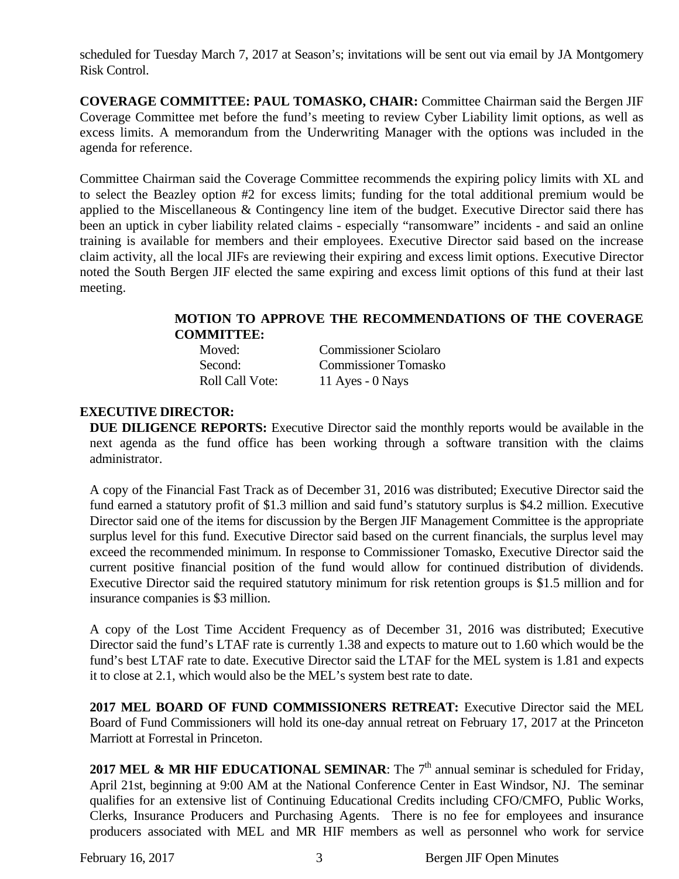scheduled for Tuesday March 7, 2017 at Season's; invitations will be sent out via email by JA Montgomery Risk Control.

**COVERAGE COMMITTEE: PAUL TOMASKO, CHAIR:** Committee Chairman said the Bergen JIF Coverage Committee met before the fund's meeting to review Cyber Liability limit options, as well as excess limits. A memorandum from the Underwriting Manager with the options was included in the agenda for reference.

Committee Chairman said the Coverage Committee recommends the expiring policy limits with XL and to select the Beazley option #2 for excess limits; funding for the total additional premium would be applied to the Miscellaneous & Contingency line item of the budget. Executive Director said there has been an uptick in cyber liability related claims - especially "ransomware" incidents - and said an online training is available for members and their employees. Executive Director said based on the increase claim activity, all the local JIFs are reviewing their expiring and excess limit options. Executive Director noted the South Bergen JIF elected the same expiring and excess limit options of this fund at their last meeting.

## **MOTION TO APPROVE THE RECOMMENDATIONS OF THE COVERAGE COMMITTEE:**

| Moved:                 | <b>Commissioner Sciolaro</b> |
|------------------------|------------------------------|
| Second:                | <b>Commissioner Tomasko</b>  |
| <b>Roll Call Vote:</b> | 11 Ayes - $0$ Nays           |

## **EXECUTIVE DIRECTOR:**

**DUE DILIGENCE REPORTS:** Executive Director said the monthly reports would be available in the next agenda as the fund office has been working through a software transition with the claims administrator.

A copy of the Financial Fast Track as of December 31, 2016 was distributed; Executive Director said the fund earned a statutory profit of \$1.3 million and said fund's statutory surplus is \$4.2 million. Executive Director said one of the items for discussion by the Bergen JIF Management Committee is the appropriate surplus level for this fund. Executive Director said based on the current financials, the surplus level may exceed the recommended minimum. In response to Commissioner Tomasko, Executive Director said the current positive financial position of the fund would allow for continued distribution of dividends. Executive Director said the required statutory minimum for risk retention groups is \$1.5 million and for insurance companies is \$3 million.

A copy of the Lost Time Accident Frequency as of December 31, 2016 was distributed; Executive Director said the fund's LTAF rate is currently 1.38 and expects to mature out to 1.60 which would be the fund's best LTAF rate to date. Executive Director said the LTAF for the MEL system is 1.81 and expects it to close at 2.1, which would also be the MEL's system best rate to date.

**2017 MEL BOARD OF FUND COMMISSIONERS RETREAT:** Executive Director said the MEL Board of Fund Commissioners will hold its one-day annual retreat on February 17, 2017 at the Princeton Marriott at Forrestal in Princeton.

**2017 MEL & MR HIF EDUCATIONAL SEMINAR:** The  $7<sup>th</sup>$  annual seminar is scheduled for Friday, April 21st, beginning at 9:00 AM at the National Conference Center in East Windsor, NJ. The seminar qualifies for an extensive list of Continuing Educational Credits including CFO/CMFO, Public Works, Clerks, Insurance Producers and Purchasing Agents. There is no fee for employees and insurance producers associated with MEL and MR HIF members as well as personnel who work for service

February 16, 2017 3 Bergen JIF Open Minutes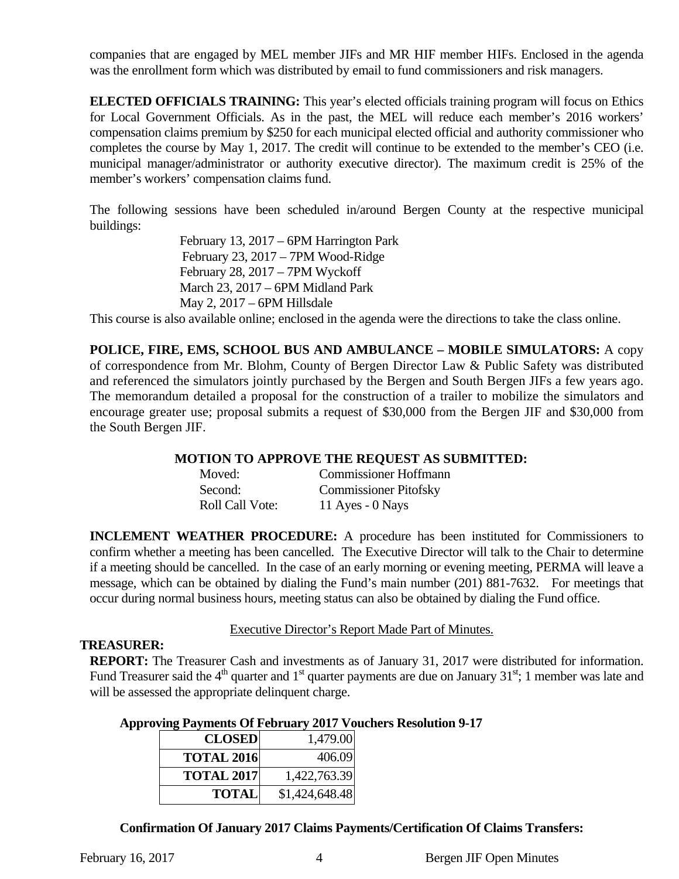companies that are engaged by MEL member JIFs and MR HIF member HIFs. Enclosed in the agenda was the enrollment form which was distributed by email to fund commissioners and risk managers.

**ELECTED OFFICIALS TRAINING:** This year's elected officials training program will focus on Ethics for Local Government Officials. As in the past, the MEL will reduce each member's 2016 workers' compensation claims premium by \$250 for each municipal elected official and authority commissioner who completes the course by May 1, 2017. The credit will continue to be extended to the member's CEO (i.e. municipal manager/administrator or authority executive director). The maximum credit is 25% of the member's workers' compensation claims fund.

The following sessions have been scheduled in/around Bergen County at the respective municipal buildings:

> February 13, 2017 – 6PM Harrington Park February 23, 2017 – 7PM Wood-Ridge February 28, 2017 – 7PM Wyckoff March 23, 2017 – 6PM Midland Park May 2, 2017 – 6PM Hillsdale

This course is also available online; enclosed in the agenda were the directions to take the class online.

**POLICE, FIRE, EMS, SCHOOL BUS AND AMBULANCE – MOBILE SIMULATORS:** A copy of correspondence from Mr. Blohm, County of Bergen Director Law & Public Safety was distributed and referenced the simulators jointly purchased by the Bergen and South Bergen JIFs a few years ago. The memorandum detailed a proposal for the construction of a trailer to mobilize the simulators and encourage greater use; proposal submits a request of \$30,000 from the Bergen JIF and \$30,000 from the South Bergen JIF.

#### **MOTION TO APPROVE THE REQUEST AS SUBMITTED:**

| Moved:                 | <b>Commissioner Hoffmann</b> |
|------------------------|------------------------------|
| Second:                | <b>Commissioner Pitofsky</b> |
| <b>Roll Call Vote:</b> | 11 Ayes - $0$ Nays           |

**INCLEMENT WEATHER PROCEDURE:** A procedure has been instituted for Commissioners to confirm whether a meeting has been cancelled. The Executive Director will talk to the Chair to determine if a meeting should be cancelled. In the case of an early morning or evening meeting, PERMA will leave a message, which can be obtained by dialing the Fund's main number (201) 881-7632. For meetings that occur during normal business hours, meeting status can also be obtained by dialing the Fund office.

#### Executive Director's Report Made Part of Minutes.

#### **TREASURER:**

**REPORT:** The Treasurer Cash and investments as of January 31, 2017 were distributed for information. Fund Treasurer said the  $4<sup>th</sup>$  quarter and 1<sup>st</sup> quarter payments are due on January 31<sup>st</sup>; 1 member was late and will be assessed the appropriate delinquent charge.

#### **Approving Payments Of February 2017 Vouchers Resolution 9-17**

| <b>CLOSED</b>     | 1,479.00       |
|-------------------|----------------|
| <b>TOTAL 2016</b> | 406.09         |
| <b>TOTAL 2017</b> | 1,422,763.39   |
| <b>TOTAL</b>      | \$1,424,648.48 |

**Confirmation Of January 2017 Claims Payments/Certification Of Claims Transfers:**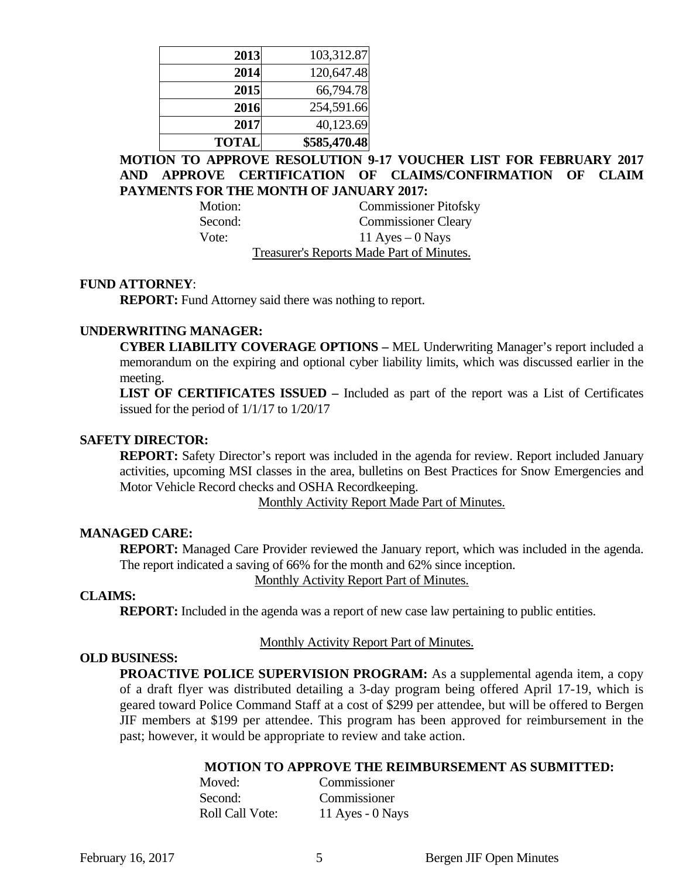| 2013         | 103,312.87   |
|--------------|--------------|
| 2014         | 120,647.48   |
| 2015         | 66,794.78    |
| 2016         | 254,591.66   |
| 2017         | 40,123.69    |
| <b>TOTAL</b> | \$585,470.48 |

## **MOTION TO APPROVE RESOLUTION 9-17 VOUCHER LIST FOR FEBRUARY 2017 AND APPROVE CERTIFICATION OF CLAIMS/CONFIRMATION OF CLAIM PAYMENTS FOR THE MONTH OF JANUARY 2017:**

Motion: Commissioner Pitofsky Second: Commissioner Cleary Vote:  $11 \text{ Ayes} - 0 \text{ Nays}$ Treasurer's Reports Made Part of Minutes.

#### **FUND ATTORNEY**:

**REPORT:** Fund Attorney said there was nothing to report.

#### **UNDERWRITING MANAGER:**

**CYBER LIABILITY COVERAGE OPTIONS –** MEL Underwriting Manager's report included a memorandum on the expiring and optional cyber liability limits, which was discussed earlier in the meeting.

**LIST OF CERTIFICATES ISSUED –** Included as part of the report was a List of Certificates issued for the period of 1/1/17 to 1/20/17

#### **SAFETY DIRECTOR:**

**REPORT:** Safety Director's report was included in the agenda for review. Report included January activities, upcoming MSI classes in the area, bulletins on Best Practices for Snow Emergencies and Motor Vehicle Record checks and OSHA Recordkeeping.

Monthly Activity Report Made Part of Minutes.

#### **MANAGED CARE:**

**REPORT:** Managed Care Provider reviewed the January report, which was included in the agenda. The report indicated a saving of 66% for the month and 62% since inception.

Monthly Activity Report Part of Minutes.

#### **CLAIMS:**

**REPORT:** Included in the agenda was a report of new case law pertaining to public entities.

#### Monthly Activity Report Part of Minutes.

#### **OLD BUSINESS:**

**PROACTIVE POLICE SUPERVISION PROGRAM:** As a supplemental agenda item, a copy of a draft flyer was distributed detailing a 3-day program being offered April 17-19, which is geared toward Police Command Staff at a cost of \$299 per attendee, but will be offered to Bergen JIF members at \$199 per attendee. This program has been approved for reimbursement in the past; however, it would be appropriate to review and take action.

#### **MOTION TO APPROVE THE REIMBURSEMENT AS SUBMITTED:**

| Moved:                 | Commissioner       |
|------------------------|--------------------|
| Second:                | Commissioner       |
| <b>Roll Call Vote:</b> | 11 Ayes - $0$ Nays |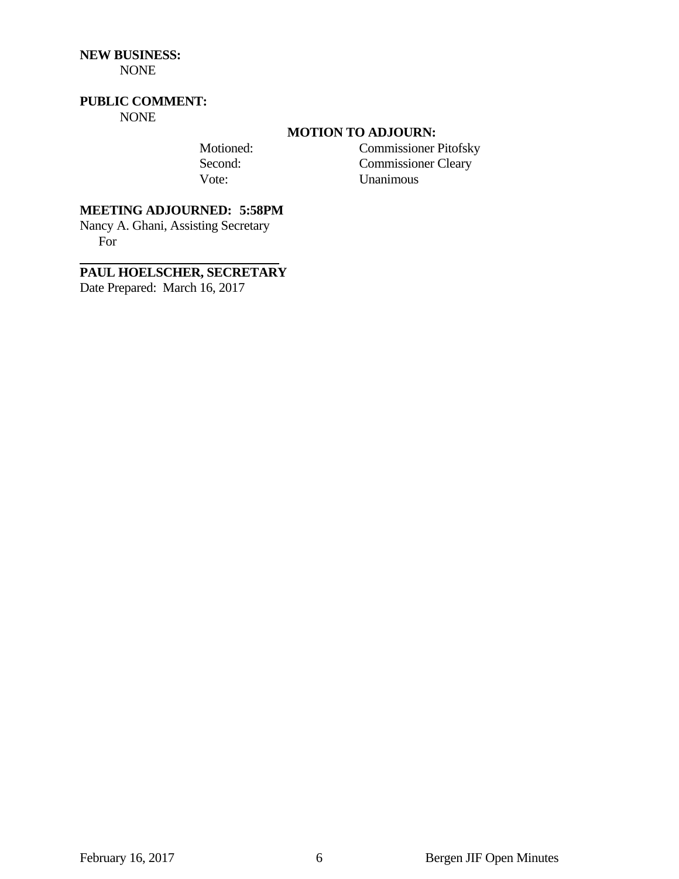## **NEW BUSINESS:**

NONE

## **PUBLIC COMMENT:**

NONE

#### **MOTION TO ADJOURN:**

 Motioned: Commissioner Pitofsky Second: Commissioner Cleary Vote: Unanimous

## **MEETING ADJOURNED: 5:58PM**

Nancy A. Ghani, Assisting Secretary For

## **PAUL HOELSCHER, SECRETARY**

Date Prepared: March 16, 2017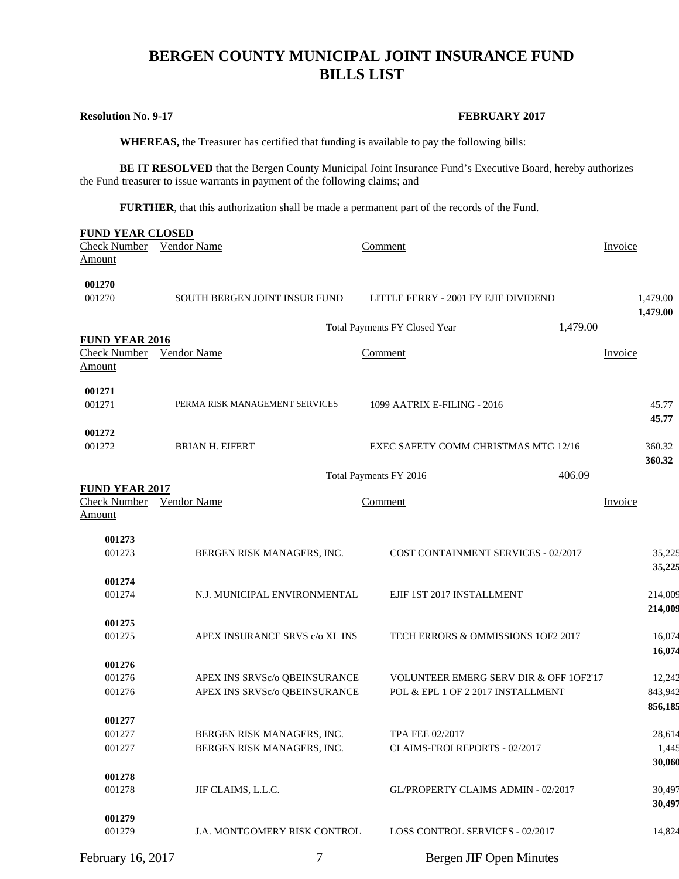# **BERGEN COUNTY MUNICIPAL JOINT INSURANCE FUND BILLS LIST**

#### **Resolution No. 9-17** FEBRUARY 2017

 **WHEREAS,** the Treasurer has certified that funding is available to pay the following bills:

**BE IT RESOLVED** that the Bergen County Municipal Joint Insurance Fund's Executive Board, hereby authorizes the Fund treasurer to issue warrants in payment of the following claims; and

**FURTHER**, that this authorization shall be made a permanent part of the records of the Fund.

| <b>FUND YEAR CLOSED</b><br><b>Check Number</b> | <b>Vendor Name</b>                                       | Comment                                           | Invoice  |                 |
|------------------------------------------------|----------------------------------------------------------|---------------------------------------------------|----------|-----------------|
| Amount                                         |                                                          |                                                   |          |                 |
|                                                |                                                          |                                                   |          |                 |
| 001270<br>001270                               | SOUTH BERGEN JOINT INSUR FUND                            | LITTLE FERRY - 2001 FY EJIF DIVIDEND              |          | 1,479.00        |
|                                                |                                                          |                                                   |          | 1,479.00        |
|                                                |                                                          | Total Payments FY Closed Year                     | 1,479.00 |                 |
| <b>FUND YEAR 2016</b>                          |                                                          |                                                   |          |                 |
| Check Number                                   | Vendor Name                                              | Comment                                           | Invoice  |                 |
| <b>Amount</b>                                  |                                                          |                                                   |          |                 |
| 001271                                         |                                                          |                                                   |          |                 |
| 001271                                         | PERMA RISK MANAGEMENT SERVICES                           | 1099 AATRIX E-FILING - 2016                       |          | 45.77           |
|                                                |                                                          |                                                   |          | 45.77           |
| 001272<br>001272                               | <b>BRIAN H. EIFERT</b>                                   | EXEC SAFETY COMM CHRISTMAS MTG 12/16              |          | 360.32          |
|                                                |                                                          |                                                   |          | 360.32          |
|                                                |                                                          | Total Payments FY 2016                            | 406.09   |                 |
| <b>FUND YEAR 2017</b>                          |                                                          |                                                   |          |                 |
| <b>Check Number</b>                            | <b>Vendor Name</b>                                       | Comment                                           | Invoice  |                 |
| Amount                                         |                                                          |                                                   |          |                 |
| 001273                                         |                                                          |                                                   |          |                 |
| 001273                                         | BERGEN RISK MANAGERS, INC.                               | COST CONTAINMENT SERVICES - 02/2017               |          | 35,225          |
|                                                |                                                          |                                                   |          | 35,225          |
| 001274                                         |                                                          |                                                   |          |                 |
| 001274                                         | N.J. MUNICIPAL ENVIRONMENTAL                             | EJIF 1ST 2017 INSTALLMENT                         |          | 214,009         |
|                                                |                                                          |                                                   |          | 214,009         |
| 001275<br>001275                               | APEX INSURANCE SRVS c/o XL INS                           | TECH ERRORS & OMMISSIONS 1OF2 2017                |          | 16,074          |
|                                                |                                                          |                                                   |          | 16,074          |
| 001276                                         |                                                          |                                                   |          |                 |
| 001276                                         | APEX INS SRVSc/o QBEINSURANCE                            | <b>VOLUNTEER EMERG SERV DIR &amp; OFF 10F2'17</b> |          | 12,242          |
| 001276                                         | APEX INS SRVSc/o QBEINSURANCE                            | POL & EPL 1 OF 2 2017 INSTALLMENT                 |          | 843,942         |
|                                                |                                                          |                                                   |          | 856,185         |
| 001277                                         |                                                          | <b>TPA FEE 02/2017</b>                            |          |                 |
| 001277<br>001277                               | BERGEN RISK MANAGERS, INC.<br>BERGEN RISK MANAGERS, INC. | CLAIMS-FROI REPORTS - 02/2017                     |          | 28,614<br>1,445 |
|                                                |                                                          |                                                   |          | 30,060          |
| 001278                                         |                                                          |                                                   |          |                 |
| 001278                                         | JIF CLAIMS, L.L.C.                                       | GL/PROPERTY CLAIMS ADMIN - 02/2017                |          | 30,497          |
|                                                |                                                          |                                                   |          | 30,497          |
| 001279                                         |                                                          |                                                   |          |                 |
| 001279                                         | J.A. MONTGOMERY RISK CONTROL                             | LOSS CONTROL SERVICES - 02/2017                   |          | 14,824          |
| February 16, 2017                              | 7                                                        | <b>Bergen JIF Open Minutes</b>                    |          |                 |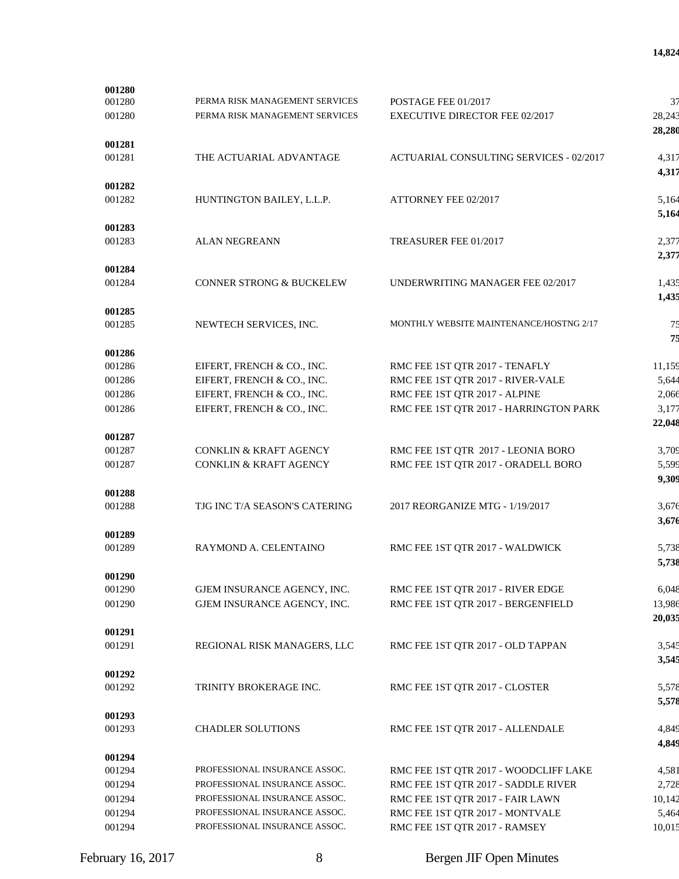|                               |                                                                                                                                                                                                                                                                                                                                               | 37                                                                                                                                                                                                                                                                                                                                                                                                                                |
|-------------------------------|-----------------------------------------------------------------------------------------------------------------------------------------------------------------------------------------------------------------------------------------------------------------------------------------------------------------------------------------------|-----------------------------------------------------------------------------------------------------------------------------------------------------------------------------------------------------------------------------------------------------------------------------------------------------------------------------------------------------------------------------------------------------------------------------------|
|                               |                                                                                                                                                                                                                                                                                                                                               | 28,243<br>28,280                                                                                                                                                                                                                                                                                                                                                                                                                  |
|                               |                                                                                                                                                                                                                                                                                                                                               |                                                                                                                                                                                                                                                                                                                                                                                                                                   |
|                               |                                                                                                                                                                                                                                                                                                                                               | 4,317<br>4,317                                                                                                                                                                                                                                                                                                                                                                                                                    |
|                               |                                                                                                                                                                                                                                                                                                                                               | 5,164                                                                                                                                                                                                                                                                                                                                                                                                                             |
|                               |                                                                                                                                                                                                                                                                                                                                               | 5,164                                                                                                                                                                                                                                                                                                                                                                                                                             |
|                               |                                                                                                                                                                                                                                                                                                                                               |                                                                                                                                                                                                                                                                                                                                                                                                                                   |
|                               |                                                                                                                                                                                                                                                                                                                                               | 2,377<br>2,377                                                                                                                                                                                                                                                                                                                                                                                                                    |
|                               |                                                                                                                                                                                                                                                                                                                                               |                                                                                                                                                                                                                                                                                                                                                                                                                                   |
|                               |                                                                                                                                                                                                                                                                                                                                               | 1,435<br>1,435                                                                                                                                                                                                                                                                                                                                                                                                                    |
|                               |                                                                                                                                                                                                                                                                                                                                               |                                                                                                                                                                                                                                                                                                                                                                                                                                   |
|                               |                                                                                                                                                                                                                                                                                                                                               | 75<br>75                                                                                                                                                                                                                                                                                                                                                                                                                          |
|                               |                                                                                                                                                                                                                                                                                                                                               |                                                                                                                                                                                                                                                                                                                                                                                                                                   |
| EIFERT, FRENCH & CO., INC.    | RMC FEE 1ST QTR 2017 - TENAFLY                                                                                                                                                                                                                                                                                                                | 11,159                                                                                                                                                                                                                                                                                                                                                                                                                            |
| EIFERT, FRENCH & CO., INC.    | RMC FEE 1ST QTR 2017 - RIVER-VALE                                                                                                                                                                                                                                                                                                             | 5,644                                                                                                                                                                                                                                                                                                                                                                                                                             |
| EIFERT, FRENCH & CO., INC.    | RMC FEE 1ST QTR 2017 - ALPINE                                                                                                                                                                                                                                                                                                                 | 2,066                                                                                                                                                                                                                                                                                                                                                                                                                             |
| EIFERT, FRENCH & CO., INC.    | RMC FEE 1ST QTR 2017 - HARRINGTON PARK                                                                                                                                                                                                                                                                                                        | 3,177<br>22,048                                                                                                                                                                                                                                                                                                                                                                                                                   |
|                               |                                                                                                                                                                                                                                                                                                                                               |                                                                                                                                                                                                                                                                                                                                                                                                                                   |
|                               |                                                                                                                                                                                                                                                                                                                                               | 3,709                                                                                                                                                                                                                                                                                                                                                                                                                             |
|                               |                                                                                                                                                                                                                                                                                                                                               | 5,599<br>9,309                                                                                                                                                                                                                                                                                                                                                                                                                    |
|                               |                                                                                                                                                                                                                                                                                                                                               |                                                                                                                                                                                                                                                                                                                                                                                                                                   |
|                               |                                                                                                                                                                                                                                                                                                                                               | 3,676<br>3,676                                                                                                                                                                                                                                                                                                                                                                                                                    |
|                               |                                                                                                                                                                                                                                                                                                                                               |                                                                                                                                                                                                                                                                                                                                                                                                                                   |
| RAYMOND A. CELENTAINO         | RMC FEE 1ST QTR 2017 - WALDWICK                                                                                                                                                                                                                                                                                                               | 5,738<br>5,738                                                                                                                                                                                                                                                                                                                                                                                                                    |
|                               |                                                                                                                                                                                                                                                                                                                                               |                                                                                                                                                                                                                                                                                                                                                                                                                                   |
| GJEM INSURANCE AGENCY, INC.   | RMC FEE 1ST QTR 2017 - RIVER EDGE                                                                                                                                                                                                                                                                                                             | 6,048                                                                                                                                                                                                                                                                                                                                                                                                                             |
| GJEM INSURANCE AGENCY, INC.   |                                                                                                                                                                                                                                                                                                                                               | 13,986<br>20,035                                                                                                                                                                                                                                                                                                                                                                                                                  |
|                               |                                                                                                                                                                                                                                                                                                                                               |                                                                                                                                                                                                                                                                                                                                                                                                                                   |
| REGIONAL RISK MANAGERS, LLC   | RMC FEE 1ST QTR 2017 - OLD TAPPAN                                                                                                                                                                                                                                                                                                             | 3,545<br>3,545                                                                                                                                                                                                                                                                                                                                                                                                                    |
|                               |                                                                                                                                                                                                                                                                                                                                               |                                                                                                                                                                                                                                                                                                                                                                                                                                   |
| TRINITY BROKERAGE INC.        | RMC FEE 1ST QTR 2017 - CLOSTER                                                                                                                                                                                                                                                                                                                | 5,578<br>5,578                                                                                                                                                                                                                                                                                                                                                                                                                    |
|                               |                                                                                                                                                                                                                                                                                                                                               |                                                                                                                                                                                                                                                                                                                                                                                                                                   |
|                               |                                                                                                                                                                                                                                                                                                                                               | 4,849<br>4,849                                                                                                                                                                                                                                                                                                                                                                                                                    |
|                               |                                                                                                                                                                                                                                                                                                                                               |                                                                                                                                                                                                                                                                                                                                                                                                                                   |
| PROFESSIONAL INSURANCE ASSOC. | RMC FEE 1ST QTR 2017 - WOODCLIFF LAKE                                                                                                                                                                                                                                                                                                         | 4,581                                                                                                                                                                                                                                                                                                                                                                                                                             |
| PROFESSIONAL INSURANCE ASSOC. | RMC FEE 1ST QTR 2017 - SADDLE RIVER                                                                                                                                                                                                                                                                                                           | 2,728                                                                                                                                                                                                                                                                                                                                                                                                                             |
| PROFESSIONAL INSURANCE ASSOC. | RMC FEE 1ST QTR 2017 - FAIR LAWN                                                                                                                                                                                                                                                                                                              | 10,142                                                                                                                                                                                                                                                                                                                                                                                                                            |
| PROFESSIONAL INSURANCE ASSOC. | RMC FEE 1ST QTR 2017 - MONTVALE                                                                                                                                                                                                                                                                                                               | 5,464                                                                                                                                                                                                                                                                                                                                                                                                                             |
| PROFESSIONAL INSURANCE ASSOC. | RMC FEE 1ST QTR 2017 - RAMSEY                                                                                                                                                                                                                                                                                                                 | 10,015                                                                                                                                                                                                                                                                                                                                                                                                                            |
|                               | PERMA RISK MANAGEMENT SERVICES<br>PERMA RISK MANAGEMENT SERVICES<br>THE ACTUARIAL ADVANTAGE<br>HUNTINGTON BAILEY, L.L.P.<br><b>ALAN NEGREANN</b><br><b>CONNER STRONG &amp; BUCKELEW</b><br>NEWTECH SERVICES, INC.<br><b>CONKLIN &amp; KRAFT AGENCY</b><br>CONKLIN & KRAFT AGENCY<br>TJG INC T/A SEASON'S CATERING<br><b>CHADLER SOLUTIONS</b> | POSTAGE FEE 01/2017<br><b>EXECUTIVE DIRECTOR FEE 02/2017</b><br>ACTUARIAL CONSULTING SERVICES - 02/2017<br>ATTORNEY FEE 02/2017<br>TREASURER FEE 01/2017<br>UNDERWRITING MANAGER FEE 02/2017<br>MONTHLY WEBSITE MAINTENANCE/HOSTNG 2/17<br>RMC FEE 1ST QTR 2017 - LEONIA BORO<br>RMC FEE 1ST QTR 2017 - ORADELL BORO<br>2017 REORGANIZE MTG - 1/19/2017<br>RMC FEE 1ST QTR 2017 - BERGENFIELD<br>RMC FEE 1ST QTR 2017 - ALLENDALE |

February 16, 2017 8 8 Bergen JIF Open Minutes